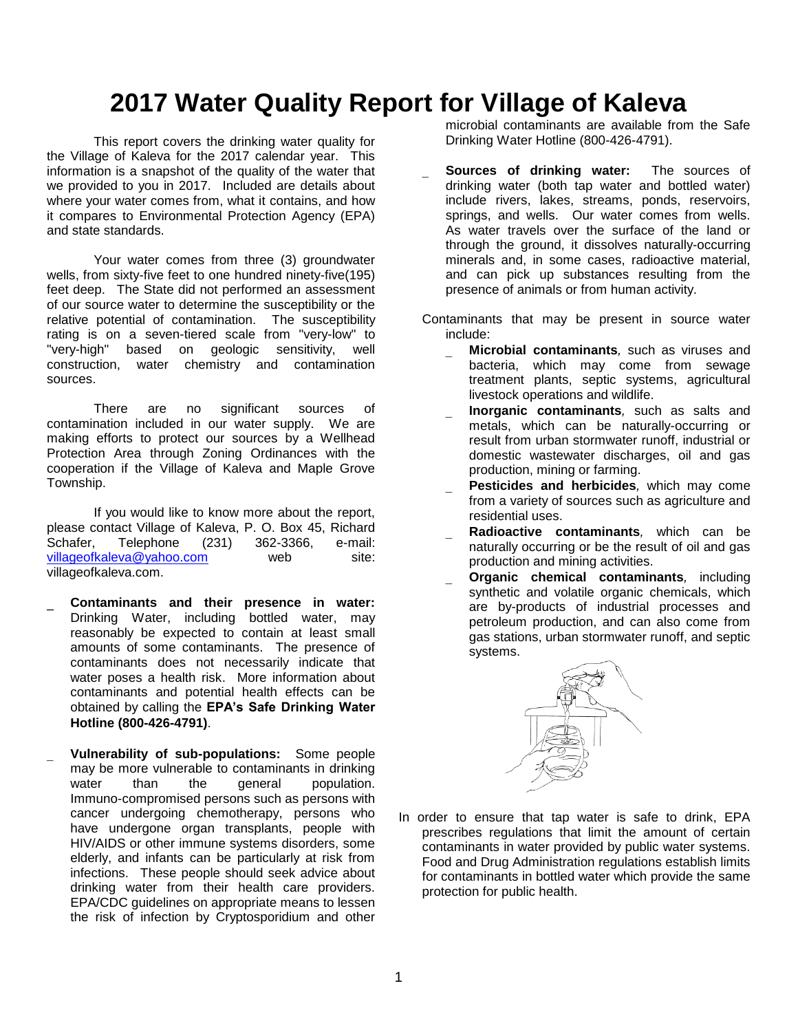## **2017 Water Quality Report for Village of Kaleva**

This report covers the drinking water quality for the Village of Kaleva for the 2017 calendar year. This information is a snapshot of the quality of the water that we provided to you in 2017. Included are details about where your water comes from, what it contains, and how it compares to Environmental Protection Agency (EPA) and state standards.

Your water comes from three (3) groundwater wells, from sixty-five feet to one hundred ninety-five(195) feet deep. The State did not performed an assessment of our source water to determine the susceptibility or the relative potential of contamination. The susceptibility rating is on a seven-tiered scale from "very-low" to "very-high" based on geologic sensitivity, well construction, water chemistry and contamination sources.

There are no significant sources of contamination included in our water supply. We are making efforts to protect our sources by a Wellhead Protection Area through Zoning Ordinances with the cooperation if the Village of Kaleva and Maple Grove Township.

If you would like to know more about the report, please contact Village of Kaleva, P. O. Box 45, Richard Schafer, Telephone (231) 362-3366, e-mail: villageofkaleva@yahoo.com web site: villageofkaleva.com.

- **Contaminants and their presence in water:**  Drinking Water, including bottled water, may reasonably be expected to contain at least small amounts of some contaminants. The presence of contaminants does not necessarily indicate that water poses a health risk. More information about contaminants and potential health effects can be obtained by calling the **EPA's Safe Drinking Water Hotline (800-426-4791)**.
- **Vulnerability of sub-populations:** Some people may be more vulnerable to contaminants in drinking water than the general population. Immuno-compromised persons such as persons with cancer undergoing chemotherapy, persons who have undergone organ transplants, people with HIV/AIDS or other immune systems disorders, some elderly, and infants can be particularly at risk from infections. These people should seek advice about drinking water from their health care providers. EPA/CDC guidelines on appropriate means to lessen the risk of infection by Cryptosporidium and other

microbial contaminants are available from the Safe Drinking Water Hotline (800-426-4791).

 **Sources of drinking water:** The sources of drinking water (both tap water and bottled water) include rivers, lakes, streams, ponds, reservoirs, springs, and wells. Our water comes from wells. As water travels over the surface of the land or through the ground, it dissolves naturally-occurring minerals and, in some cases, radioactive material, and can pick up substances resulting from the presence of animals or from human activity.

Contaminants that may be present in source water include:

- **Microbial contaminants***,* such as viruses and bacteria, which may come from sewage treatment plants, septic systems, agricultural livestock operations and wildlife.
- **Inorganic contaminants***,* such as salts and metals, which can be naturally-occurring or result from urban stormwater runoff, industrial or domestic wastewater discharges, oil and gas production, mining or farming.
- **Pesticides and herbicides***,* which may come from a variety of sources such as agriculture and residential uses.
- **Radioactive contaminants***,* which can be naturally occurring or be the result of oil and gas production and mining activities.
- **Organic chemical contaminants***,* including synthetic and volatile organic chemicals, which are by-products of industrial processes and petroleum production, and can also come from gas stations, urban stormwater runoff, and septic systems.



In order to ensure that tap water is safe to drink, EPA prescribes regulations that limit the amount of certain contaminants in water provided by public water systems. Food and Drug Administration regulations establish limits for contaminants in bottled water which provide the same protection for public health.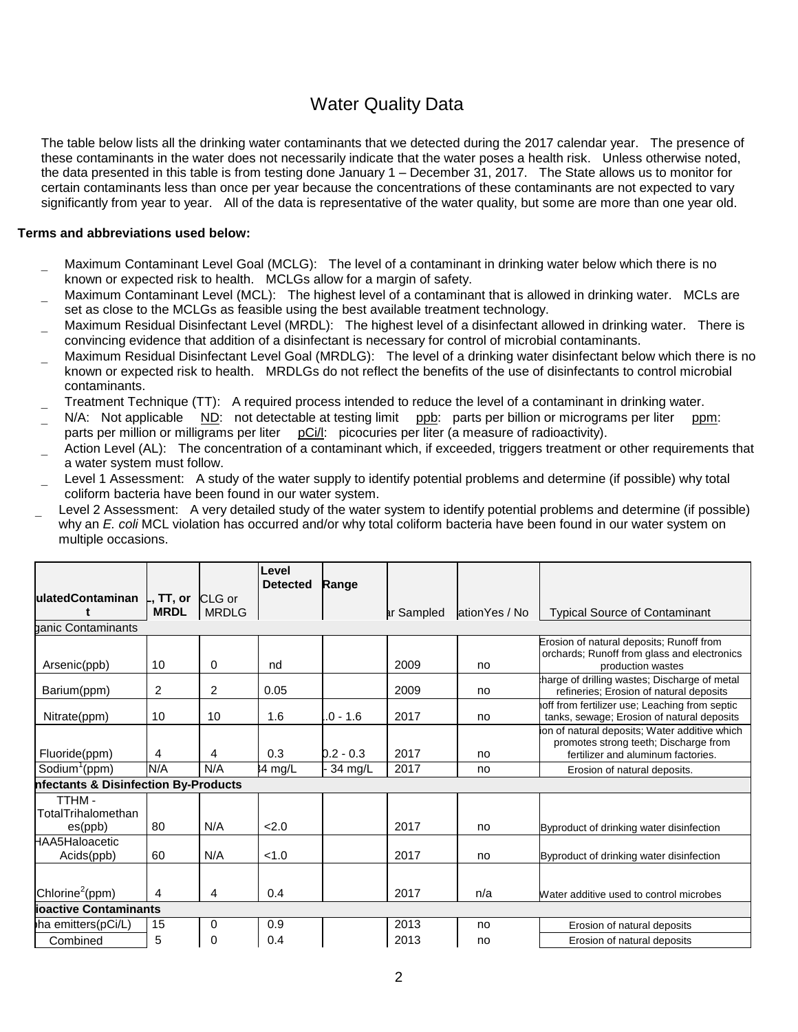## Water Quality Data

The table below lists all the drinking water contaminants that we detected during the 2017 calendar year. The presence of these contaminants in the water does not necessarily indicate that the water poses a health risk. Unless otherwise noted, the data presented in this table is from testing done January 1 – December 31, 2017. The State allows us to monitor for certain contaminants less than once per year because the concentrations of these contaminants are not expected to vary significantly from year to year. All of the data is representative of the water quality, but some are more than one year old.

## **Terms and abbreviations used below:**

- Maximum Contaminant Level Goal (MCLG): The level of a contaminant in drinking water below which there is no known or expected risk to health. MCLGs allow for a margin of safety.
- Maximum Contaminant Level (MCL): The highest level of a contaminant that is allowed in drinking water. MCLs are set as close to the MCLGs as feasible using the best available treatment technology.
- Maximum Residual Disinfectant Level (MRDL): The highest level of a disinfectant allowed in drinking water. There is convincing evidence that addition of a disinfectant is necessary for control of microbial contaminants.
- Maximum Residual Disinfectant Level Goal (MRDLG): The level of a drinking water disinfectant below which there is no known or expected risk to health. MRDLGs do not reflect the benefits of the use of disinfectants to control microbial contaminants.
- Treatment Technique (TT): A required process intended to reduce the level of a contaminant in drinking water.
- N/A: Not applicable ND: not detectable at testing limit ppb: parts per billion or micrograms per liter ppm: parts per million or milligrams per liter pCi/l: picocuries per liter (a measure of radioactivity).
- Action Level (AL): The concentration of a contaminant which, if exceeded, triggers treatment or other requirements that a water system must follow.
- Level 1 Assessment: A study of the water supply to identify potential problems and determine (if possible) why total coliform bacteria have been found in our water system.
- Level 2 Assessment: A very detailed study of the water system to identify potential problems and determine (if possible) why an *E. coli* MCL violation has occurred and/or why total coliform bacteria have been found in our water system on multiple occasions.

| ulatedContaminan                       | $\mathsf{L}, \mathsf{T}\mathsf{T}, \mathsf{or}$ | <b>CLG</b> or | Level<br><b>Detected</b> | Range           |            |               |                                                                                                                              |
|----------------------------------------|-------------------------------------------------|---------------|--------------------------|-----------------|------------|---------------|------------------------------------------------------------------------------------------------------------------------------|
|                                        | <b>MRDL</b>                                     | <b>MRDLG</b>  |                          |                 | ar Sampled | ationYes / No | <b>Typical Source of Contaminant</b>                                                                                         |
| banic Contaminants                     |                                                 |               |                          |                 |            |               |                                                                                                                              |
| Arsenic(ppb)                           | 10                                              | 0             | nd                       |                 | 2009       | no            | Erosion of natural deposits; Runoff from<br>orchards; Runoff from glass and electronics<br>production wastes                 |
| Barium(ppm)                            | $\overline{2}$                                  | 2             | 0.05                     |                 | 2009       | no            | harge of drilling wastes; Discharge of metal<br>refineries; Erosion of natural deposits                                      |
| Nitrate(ppm)                           | 10                                              | 10            | 1.6                      | $.0 - 1.6$      | 2017       | no            | off from fertilizer use; Leaching from septic<br>tanks, sewage; Erosion of natural deposits                                  |
| Fluoride(ppm)                          | 4                                               | 4             | 0.3                      | $0.2 - 0.3$     | 2017       | no            | ion of natural deposits; Water additive which<br>promotes strong teeth; Discharge from<br>fertilizer and aluminum factories. |
| Sodium <sup>1</sup> (ppm)              | N/A                                             | N/A           | 34 mg/L                  | $\cdot$ 34 mg/L | 2017       | no            | Erosion of natural deposits.                                                                                                 |
| nfectants & Disinfection By-Products   |                                                 |               |                          |                 |            |               |                                                                                                                              |
| TTHM-<br>TotalTrihalomethan<br>es(ppb) | 80                                              | N/A           | 2.0                      |                 | 2017       | no            | Byproduct of drinking water disinfection                                                                                     |
| HAA5Haloacetic<br>Acids(ppb)           | 60                                              | N/A           | < 1.0                    |                 | 2017       | no            | Byproduct of drinking water disinfection                                                                                     |
| Chlorine <sup>2</sup> (ppm)            | $\overline{4}$                                  | 4             | 0.4                      |                 | 2017       | n/a           | Water additive used to control microbes                                                                                      |
| lioactive Contaminants                 |                                                 |               |                          |                 |            |               |                                                                                                                              |
| ha emitters(pCi/L)                     | 15                                              | 0             | 0.9                      |                 | 2013       | no            | Erosion of natural deposits                                                                                                  |
| Combined                               | 5                                               | 0             | 0.4                      |                 | 2013       | no            | Erosion of natural deposits                                                                                                  |